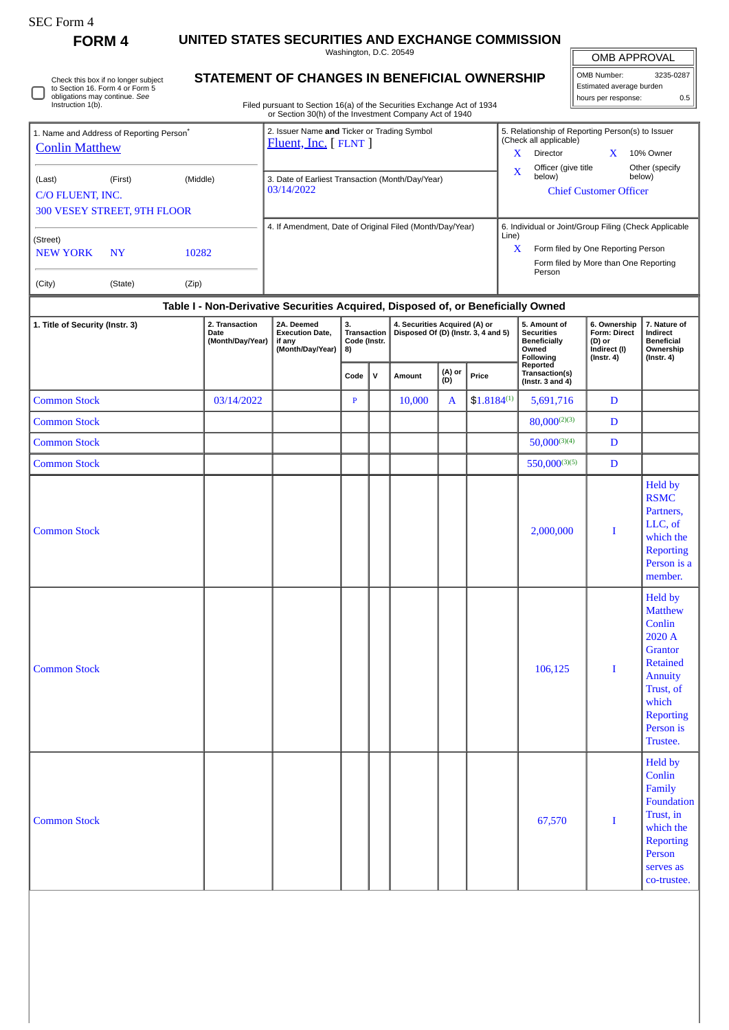| SEC Form- |
|-----------|
|-----------|

∩

Check this box if no longer subject to Section 16. Form 4 or Form 5 obligations may continue. *See* Instruction 1(b).

**FORM 4 UNITED STATES SECURITIES AND EXCHANGE COMMISSION**

Washington, D.C. 20549

**STATEMENT OF CHANGES IN BENEFICIAL OWNERSHIP**

| <b>OMB APPROVAL</b>        |  |  |  |  |  |  |  |  |  |
|----------------------------|--|--|--|--|--|--|--|--|--|
| OMB Number:<br>3235-0287   |  |  |  |  |  |  |  |  |  |
| Estimated average burden   |  |  |  |  |  |  |  |  |  |
| hours per response:<br>0.5 |  |  |  |  |  |  |  |  |  |

Filed pursuant to Section 16(a) of the Securities Exchange Act of 1934 or Section 30(h) of the Investment Company Act of 1940

|                                    | 1. Name and Address of Reporting Person <sup>®</sup> |       | 2. Issuer Name and Ticker or Trading Symbol<br>$Fluent, Inc.$ [ $FLNT$ ] | 5. Relationship of Reporting Person(s) to Issuer<br>(Check all applicable) |  |  |  |  |  |
|------------------------------------|------------------------------------------------------|-------|--------------------------------------------------------------------------|----------------------------------------------------------------------------|--|--|--|--|--|
| <b>Conlin Matthew</b>              |                                                      |       |                                                                          | X<br>x<br>10% Owner<br>Director                                            |  |  |  |  |  |
| (Middle)<br>(Last)<br>(First)      |                                                      |       | 3. Date of Earliest Transaction (Month/Day/Year)                         | Officer (give title)<br>Other (specify)<br>X<br>below)<br>below)           |  |  |  |  |  |
| C/O FLUENT, INC.                   |                                                      |       | 03/14/2022                                                               | <b>Chief Customer Officer</b>                                              |  |  |  |  |  |
| <b>300 VESEY STREET, 9TH FLOOR</b> |                                                      |       |                                                                          |                                                                            |  |  |  |  |  |
| (Street)                           |                                                      |       | 4. If Amendment, Date of Original Filed (Month/Day/Year)                 | 6. Individual or Joint/Group Filing (Check Applicable<br>Line)             |  |  |  |  |  |
| <b>NEW YORK</b>                    | <b>NY</b>                                            | 10282 |                                                                          | x<br>Form filed by One Reporting Person                                    |  |  |  |  |  |
|                                    |                                                      |       |                                                                          | Form filed by More than One Reporting<br>Person                            |  |  |  |  |  |
| (City)                             | (State)                                              | (Zip) |                                                                          |                                                                            |  |  |  |  |  |

## **Table I - Non-Derivative Securities Acquired, Disposed of, or Beneficially Owned**

| 1. Title of Security (Instr. 3) | 2. Transaction<br>Date<br>(Month/Day/Year) | 2A. Deemed<br><b>Execution Date,</b><br>if any<br>(Month/Day/Year) | 3.<br>Transaction<br>Code (Instr.<br>8) |              |        |               | 4. Securities Acquired (A) or<br>Disposed Of (D) (Instr. 3, 4 and 5) | 5. Amount of<br><b>Securities</b><br><b>Beneficially</b><br>Owned<br>Following | 6. Ownership<br>Form: Direct<br>(D) or<br>Indirect (I)<br>$($ Instr. 4 $)$ | 7. Nature of<br>Indirect<br><b>Beneficial</b><br>Ownership<br>$($ Instr. 4 $)$                                                                                   |  |
|---------------------------------|--------------------------------------------|--------------------------------------------------------------------|-----------------------------------------|--------------|--------|---------------|----------------------------------------------------------------------|--------------------------------------------------------------------------------|----------------------------------------------------------------------------|------------------------------------------------------------------------------------------------------------------------------------------------------------------|--|
|                                 |                                            |                                                                    | Code                                    | $\mathsf{v}$ | Amount | (A) or<br>(D) | Price                                                                | Reported<br>Transaction(s)<br>(Instr. 3 and 4)                                 |                                                                            |                                                                                                                                                                  |  |
| <b>Common Stock</b>             | 03/14/2022                                 |                                                                    | $\mathbf{P}$                            |              | 10,000 | A             | $$1.8184^{(1)}$                                                      | 5,691,716                                                                      | D                                                                          |                                                                                                                                                                  |  |
| <b>Common Stock</b>             |                                            |                                                                    |                                         |              |        |               |                                                                      | $80,000^{(2)(3)}$                                                              | D                                                                          |                                                                                                                                                                  |  |
| <b>Common Stock</b>             |                                            |                                                                    |                                         |              |        |               |                                                                      | $50,000^{(3)(4)}$                                                              | D                                                                          |                                                                                                                                                                  |  |
| <b>Common Stock</b>             |                                            |                                                                    |                                         |              |        |               |                                                                      | $550,000^{(3)(5)}$                                                             | D                                                                          |                                                                                                                                                                  |  |
| <b>Common Stock</b>             |                                            |                                                                    |                                         |              |        |               |                                                                      | 2,000,000                                                                      | $\bf{I}$                                                                   | <b>Held by</b><br><b>RSMC</b><br>Partners,<br>LLC, of<br>which the<br><b>Reporting</b><br>Person is a<br>member.                                                 |  |
| <b>Common Stock</b>             |                                            |                                                                    |                                         |              |        |               |                                                                      | 106,125                                                                        | $\bf{I}$                                                                   | <b>Held by</b><br><b>Matthew</b><br>Conlin<br>2020 A<br>Grantor<br><b>Retained</b><br>Annuity<br>Trust, of<br>which<br><b>Reporting</b><br>Person is<br>Trustee. |  |
| <b>Common Stock</b>             |                                            |                                                                    |                                         |              |        |               |                                                                      | 67,570                                                                         | $\mathbf I$                                                                | <b>Held by</b><br>Conlin<br>Family<br>Foundation<br>Trust, in<br>which the<br><b>Reporting</b><br>Person<br>serves as<br>co-trustee.                             |  |